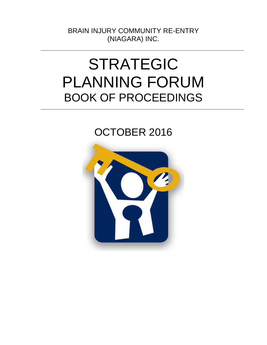BRAIN INJURY COMMUNITY RE-ENTRY (NIAGARA) INC.

# STRATEGIC PLANNING FORUM BOOK OF PROCEEDINGS

# OCTOBER 2016

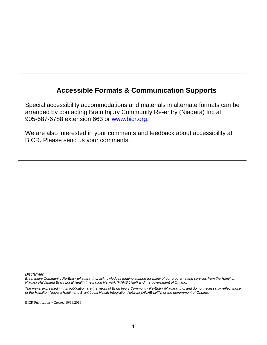# **Accessible Formats & Communication Supports**

Special accessibility accommodations and materials in alternate formats can be arranged by contacting Brain Injury Community Re-entry (Niagara) Inc at 905-687-6788 extension 663 or [www.bicr.org.](http://www.bicr.org/)

We are also interested in your comments and feedback about accessibility at BICR. Please send us your comments.

*Disclaimer:*

*Brain Injury Community Re-Entry (Niagara) Inc. acknowledges funding support for many of our programs and services from the Hamilton Niagara Haldimand Brant Local Health Integration Network (HNHB LHIN) and the government of Ontario.* 

*The views expressed in this publication are the views of Brain Injury Community Re-Entry (Niagara) Inc. and do not necessarily reflect those of the Hamilton Niagara Haldimand Brant Local Health Integration Network (HNHB LHIN) or the government of Ontario.* 

BICR Publication ~ Created 10/18/2016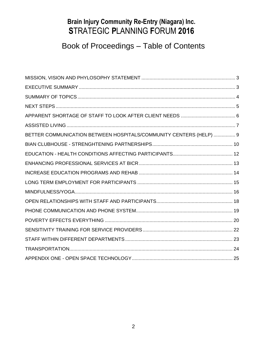# **Brain Injury Community Re-Entry (Niagara) Inc. S**TRATEGIC **P**LANNING **F**ORUM **2016**

# Book of Proceedings – Table of Contents

| BETTER COMMUNICATION BETWEEN HOSPITALS/COMMUNITY CENTERS (HELP)  9 |  |
|--------------------------------------------------------------------|--|
|                                                                    |  |
|                                                                    |  |
|                                                                    |  |
|                                                                    |  |
|                                                                    |  |
|                                                                    |  |
|                                                                    |  |
|                                                                    |  |
|                                                                    |  |
|                                                                    |  |
|                                                                    |  |
|                                                                    |  |
|                                                                    |  |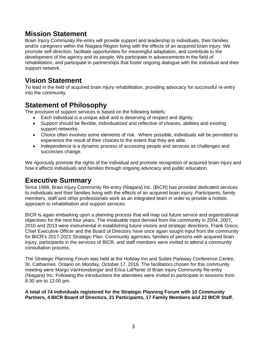## **Mission Statement**

Brain Injury Community Re-entry will provide support and leadership to individuals, their families and/or caregivers within the Niagara Region living with the effects of an acquired brain injury. We promote self-direction, facilitate opportunities for meaningful adaptation, and contribute to the development of the agency and its people. We participate in advancements in the field of rehabilitation, and participate in partnerships that foster ongoing dialogue with the individual and their support network.

### **Vision Statement**

To lead in the field of acquired brain injury rehabilitation, providing advocacy for successful re-entry into the community.

### **Statement of Philosophy**

The provision of support services is based on the following beliefs:

- Each individual is a unique adult and is deserving of respect and dignity.
- Support should be flexible, individualized and reflective of choices, abilities and existing support networks.
- Choice often involves some elements of risk. Where possible, individuals will be permitted to experience the result of their choices to the extent that they are able.
- Independence is a dynamic process of accessing people and services as challenges and successes change.

We rigorously promote the rights of the individual and promote recognition of acquired brain injury and how it affects individuals and families through ongoing advocacy and public education.

#### **Executive Summary**

Since 1988, Brain Injury Community Re-entry (Niagara) Inc. (BICR) has provided dedicated services to individuals and their families living with the effects of an acquired brain injury. Participants, family members, staff and other professionals work as an integrated team in order to provide a holistic approach to rehabilitation and support services.

BICR is again embarking upon a planning process that will map out future service and organizational objectives for the next four years. The invaluable input derived from the community in 2004, 2007, 2010 and 2013 were instrumental in establishing future visions and strategic directions. Frank Greco, Chief Executive Officer and the Board of Directors have once again sought input from the community for BICR's 2017-2021 Strategic Plan. Community agencies, families of persons with acquired brain injury, participants in the services of BICR, and staff members were invited to attend a community consultation process.

The Strategic Planning Forum was held at the Holiday Inn and Suites Parkway Conference Centre, St. Catharines, Ontario on Monday, October 17, 2016. The facilitators chosen for this community meeting were Margo VanHonsberger and Erica LaPlante of Brain Injury Community Re-entry (Niagara) Inc. Following the introductions the attendees were invited to participate in sessions from 8:30 am to 12:00 pm.

**A total of 74 individuals registered for the Strategic Planning Forum with 10 Community Partners, 4 BICR Board of Directors, 21 Participants, 17 Family Members and 22 BICR Staff.**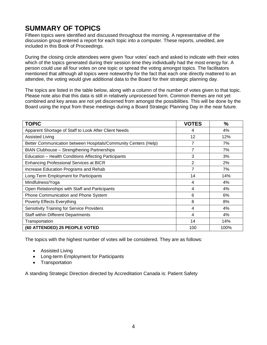# **SUMMARY OF TOPICS**

Fifteen topics were identified and discussed throughout the morning. A representative of the discussion group entered a report for each topic into a computer. These reports, unedited, are included in this Book of Proceedings.

During the closing circle attendees were given 'four votes' each and asked to indicate with their votes which of the topics generated during their session time they individually had the most energy for. A person could use all four votes on one topic or spread the voting amongst topics. The facilitators mentioned that although all topics were noteworthy for the fact that each one directly mattered to an attendee, the voting would give additional data to the Board for their strategic planning day.

The topics are listed in the table below, along with a column of the number of votes given to that topic. Please note also that this data is still in relatively unprocessed form. Common themes are not yet combined and key areas are not yet discerned from amongst the possibilities. This will be done by the Board using the input from these meetings during a Board Strategic Planning Day in the near future.

| <b>TOPIC</b>                                                    | <b>VOTES</b>   | $\frac{0}{0}$ |
|-----------------------------------------------------------------|----------------|---------------|
| Apparent Shortage of Staff to Look After Client Needs           | 4              | 4%            |
| <b>Assisted Living</b>                                          | 12             | 12%           |
| Better Communication between Hospitals/Community Centers (Help) | 7              | 7%            |
| <b>BIAN Clubhouse - Strengthening Partnerships</b>              | 7              | 7%            |
| Education - Health Conditions Affecting Participants            | 3              | 3%            |
| <b>Enhancing Professional Services at BICR</b>                  | $\overline{2}$ | 2%            |
| Increase Education Programs and Rehab                           | 7              | 7%            |
| Long-Term Employment for Participants                           | 14             | 14%           |
| Mindfulness/Yoga                                                | 4              | 4%            |
| Open Relationships with Staff and Participants                  | 4              | 4%            |
| Phone Communication and Phone System                            | 6              | 6%            |
| <b>Poverty Effects Everything</b>                               | 8              | 8%            |
| <b>Sensitivity Training for Service Providers</b>               | 4              | 4%            |
| <b>Staff within Different Departments</b>                       | 4              | 4%            |
| Transportation                                                  | 14             | 14%           |
| (60 ATTENDED) 25 PEOPLE VOTED                                   | 100            | 100%          |

The topics with the highest number of votes will be considered. They are as follows:

- Assisted Living
- Long-term Employment for Participants
- Transportation

A standing Strategic Direction directed by Accreditation Canada is: Patient Safety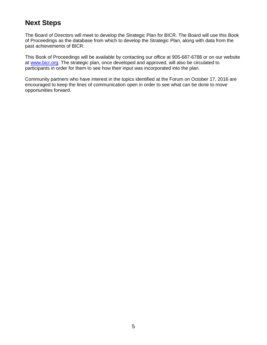# **Next Steps**

The Board of Directors will meet to develop the Strategic Plan for BICR. The Board will use this Book of Proceedings as the database from which to develop the Strategic Plan, along with data from the past achievements of BICR.

This Book of Proceedings will be available by contacting our office at 905-687-6788 or on our website at [www.bicr.org.](http://www.bicr.org/) The strategic plan, once developed and approved, will also be circulated to participants in order for them to see how their input was incorporated into the plan.

Community partners who have interest in the topics identified at the Forum on October 17, 2016 are encouraged to keep the lines of communication open in order to see what can be done to move opportunities forward.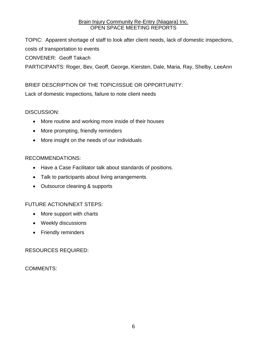TOPIC: Apparent shortage of staff to look after client needs, lack of domestic inspections, costs of transportation to events CONVENER: Geoff Takach

PARTICIPANTS: Roger, Bev, Geoff, George, Kiersten, Dale, Maria, Ray, Shelby, LeeAnn

#### BRIEF DESCRIPTION OF THE TOPIC/ISSUE OR OPPORTUNITY:

Lack of domestic inspections, failure to note client needs

#### DISCUSSION:

- More routine and working more inside of their houses
- More prompting, friendly reminders
- More insight on the needs of our individuals

#### RECOMMENDATIONS:

- Have a Case Facilitator talk about standards of positions.
- Talk to participants about living arrangements
- Outsource cleaning & supports

#### FUTURE ACTION/NEXT STEPS:

- More support with charts
- Weekly discussions
- Friendly reminders

#### RESOURCES REQUIRED: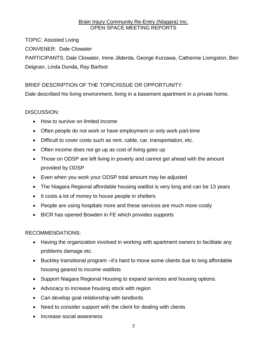TOPIC: Assisted Living CONVENER: Dale Clowater PARTICIPANTS: Dale Clowater, Irene Jilderda, George Kurzawa, Catherine Livingston, Ben Deignan, Linda Dunda, Ray Barfoot

#### BRIEF DESCRIPTION OF THE TOPIC/ISSUE OR OPPORTUNITY:

Dale described his living environment, living in a basement apartment in a private home.

#### DISCUSSION:

- How to survive on limited income
- Often people do not work or have employment or only work part-time
- Difficult to cover costs such as rent, cable, car, transportation, etc.
- Often income does not go up as cost of living goes up
- Those on ODSP are left living in poverty and cannot get ahead with the amount provided by ODSP
- Even when you work your ODSP total amount may be adjusted
- The Niagara Regional affordable housing waitlist is very long and can be 13 years
- It costs a lot of money to house people in shelters
- People are using hospitals more and these services are much more costly
- BICR has opened Bowden in FE which provides supports

#### RECOMMENDATIONS:

- Having the organization involved in working with apartment owners to facilitate any problems damage etc.
- Buckley transitional program –it's hard to move some clients due to long affordable housing geared to income waitlists
- Support Niagara Regional Housing to expand services and housing options.
- Advocacy to increase housing stock with region
- Can develop goal relationship with landlords
- Need to consider support with the client for dealing with clients
- Increase social awareness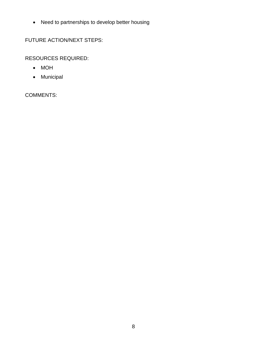Need to partnerships to develop better housing

FUTURE ACTION/NEXT STEPS:

RESOURCES REQUIRED:

- MOH
- Municipal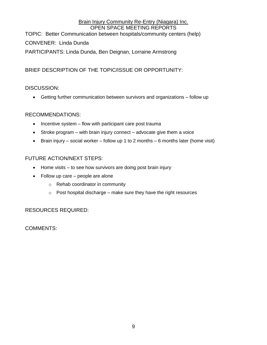TOPIC: Better Communication between hospitals/community centers (help)

#### CONVENER: Linda Dunda

PARTICIPANTS: Linda Dunda, Ben Deignan, Lorraine Armstrong

#### BRIEF DESCRIPTION OF THE TOPIC/ISSUE OR OPPORTUNITY:

#### DISCUSSION:

Getting further communication between survivors and organizations – follow up

#### RECOMMENDATIONS:

- $\bullet$  Incentive system flow with participant care post trauma
- $\bullet$  Stroke program with brain injury connect advocate give them a voice
- **•** Brain injury social worker follow up 1 to 2 months 6 months later (home visit)

#### FUTURE ACTION/NEXT STEPS:

- Home visits to see how survivors are doing post brain injury
- Follow up care people are alone
	- o Rehab coordinator in community
	- $\circ$  Post hospital discharge make sure they have the right resources

#### RESOURCES REQUIRED: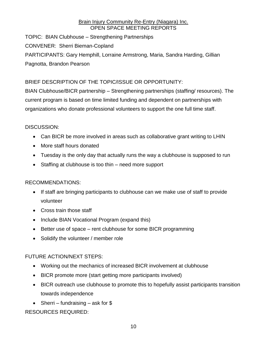TOPIC: BIAN Clubhouse – Strengthening Partnerships CONVENER: Sherri Bieman-Copland PARTICIPANTS: Gary Hemphill, Lorraine Armstrong, Maria, Sandra Harding, Gillian Pagnotta, Brandon Pearson

#### BRIEF DESCRIPTION OF THE TOPIC/ISSUE OR OPPORTUNITY:

BIAN Clubhouse/BICR partnership – Strengthening partnerships (staffing/ resources). The current program is based on time limited funding and dependent on partnerships with organizations who donate professional volunteers to support the one full time staff.

#### DISCUSSION:

- Can BICR be more involved in areas such as collaborative grant writing to LHIN
- More staff hours donated
- Tuesday is the only day that actually runs the way a clubhouse is supposed to run
- Staffing at clubhouse is too thin need more support

#### RECOMMENDATIONS:

- If staff are bringing participants to clubhouse can we make use of staff to provide volunteer
- Cross train those staff
- Include BIAN Vocational Program (expand this)
- Better use of space rent clubhouse for some BICR programming
- Solidify the volunteer / member role

#### FUTURE ACTION/NEXT STEPS:

- Working out the mechanics of increased BICR involvement at clubhouse
- BICR promote more (start getting more participants involved)
- BICR outreach use clubhouse to promote this to hopefully assist participants transition towards independence
- Sherri fundraising ask for  $$$

RESOURCES REQUIRED: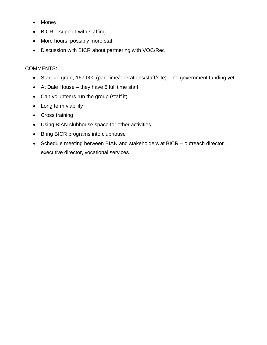- Money
- $\bullet$  BICR support with staffing
- More hours, possibly more staff
- Discussion with BICR about partnering with VOC/Rec

- Start-up grant, 167,000 (part time/operations/staff/site) no government funding yet
- At Dale House they have 5 full time staff
- Can volunteers run the group (staff it)
- Long term viability
- Cross training
- Using BIAN clubhouse space for other activities
- Bring BICR programs into clubhouse
- Schedule meeting between BIAN and stakeholders at BICR outreach director, executive director, vocational services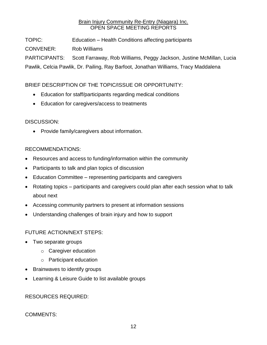TOPIC: Education – Health Conditions affecting participants CONVENER: Rob Williams PARTICIPANTS: Scott Farraway, Rob Williams, Peggy Jackson, Justine McMillan, Lucia Pawlik, Celcia Pawlik, Dr. Pailing, Ray Barfoot, Jonathan Williams, Tracy Maddalena

#### BRIEF DESCRIPTION OF THE TOPIC/ISSUE OR OPPORTUNITY:

- Education for staff/participants regarding medical conditions
- Education for caregivers/access to treatments

#### DISCUSSION:

• Provide family/caregivers about information.

#### RECOMMENDATIONS:

- Resources and access to funding/information within the community
- Participants to talk and plan topics of discussion
- Education Committee representing participants and caregivers
- Rotating topics participants and caregivers could plan after each session what to talk about next
- Accessing community partners to present at information sessions
- Understanding challenges of brain injury and how to support

#### FUTURE ACTION/NEXT STEPS:

- Two separate groups
	- o Caregiver education
	- o Participant education
- Brainwaves to identify groups
- Learning & Leisure Guide to list available groups

RESOURCES REQUIRED: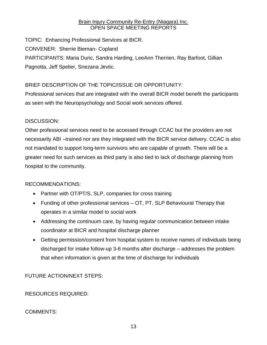TOPIC: Enhancing Professional Services at BICR. CONVENER: Sherrie Bieman- Copland PARTICIPANTS: Maria Duric, Sandra Harding, LeeAnn Therrien, Ray Barfoot, Gillian Pagnotta, Jeff Spelier, Snezana Jevtic.

#### BRIEF DESCRIPTION OF THE TOPIC/ISSUE OR OPPORTUNITY:

Professional services that are integrated with the overall BICR model benefit the participants as seen with the Neuropsychology and Social work services offered.

#### DISCUSSION:

Other professional services need to be accessed through CCAC but the providers are not necessarily ABI –trained nor are they integrated with the BICR service delivery. CCAC is also not mandated to support long-term survivors who are capable of growth. There will be a greater need for such services as third party is also tied to lack of discharge planning from hospital to the community.

#### RECOMMENDATIONS:

- Partner with OT/PT/S, SLP, companies for cross training
- Funding of other professional services OT, PT, SLP Behavioural Therapy that operates in a similar model to social work
- Addressing the continuum care, by having regular communication between intake coordinator at BICR and hospital discharge planner
- Getting permission/consent from hospital system to receive names of individuals being discharged for intake follow-up 3-6 months after discharge – addresses the problem that when information is given at the time of discharge for individuals

FUTURE ACTION/NEXT STEPS:

#### RESOURCES REQUIRED: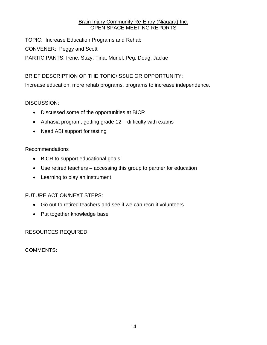TOPIC: Increase Education Programs and Rehab CONVENER: Peggy and Scott PARTICIPANTS: Irene, Suzy, Tina, Muriel, Peg, Doug, Jackie

#### BRIEF DESCRIPTION OF THE TOPIC/ISSUE OR OPPORTUNITY:

Increase education, more rehab programs, programs to increase independence.

#### DISCUSSION:

- Discussed some of the opportunities at BICR
- Aphasia program, getting grade 12 difficulty with exams
- Need ABI support for testing

#### Recommendations

- BICR to support educational goals
- Use retired teachers accessing this group to partner for education
- Learning to play an instrument

#### FUTURE ACTION/NEXT STEPS:

- Go out to retired teachers and see if we can recruit volunteers
- Put together knowledge base

RESOURCES REQUIRED: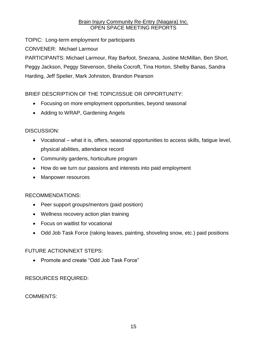TOPIC: Long-term employment for participants

CONVENER: Michael Larmour

PARTICIPANTS: Michael Larmour, Ray Barfoot, Snezana, Justine McMillan, Ben Short, Peggy Jackson, Peggy Stevenson, Sheila Cocroft, Tina Horton, Shelby Banas, Sandra Harding, Jeff Spelier, Mark Johnston, Brandon Pearson

#### BRIEF DESCRIPTION OF THE TOPIC/ISSUE OR OPPORTUNITY:

- Focusing on more employment opportunities, beyond seasonal
- Adding to WRAP, Gardening Angels

#### DISCUSSION:

- Vocational what it is, offers, seasonal opportunities to access skills, fatigue level, physical abilities, attendance record
- Community gardens, horticulture program
- How do we turn our passions and interests into paid employment
- Manpower resources

#### RECOMMENDATIONS:

- Peer support groups/mentors (paid position)
- Wellness recovery action plan training
- Focus on waitlist for vocational
- Odd Job Task Force (raking leaves, painting, shoveling snow, etc.) paid positions

#### FUTURE ACTION/NEXT STEPS:

• Promote and create "Odd Job Task Force"

#### RESOURCES REQUIRED: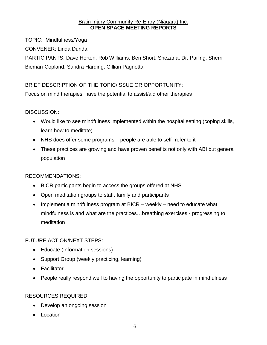TOPIC: Mindfulness/Yoga CONVENER: Linda Dunda PARTICIPANTS: Dave Horton, Rob Williams, Ben Short, Snezana, Dr. Pailing, Sherri Bieman-Copland, Sandra Harding, Gillian Pagnotta

#### BRIEF DESCRIPTION OF THE TOPIC/ISSUE OR OPPORTUNITY:

Focus on mind therapies, have the potential to assist/aid other therapies

#### DISCUSSION:

- Would like to see mindfulness implemented within the hospital setting (coping skills, learn how to meditate)
- NHS does offer some programs people are able to self- refer to it
- These practices are growing and have proven benefits not only with ABI but general population

#### RECOMMENDATIONS:

- BICR participants begin to access the groups offered at NHS
- Open meditation groups to staff, family and participants
- Implement a mindfulness program at BICR  $-$  weekly  $-$  need to educate what mindfulness is and what are the practices…breathing exercises - progressing to meditation

#### FUTURE ACTION/NEXT STEPS:

- Educate (Information sessions)
- Support Group (weekly practicing, learning)
- Facilitator
- People really respond well to having the opportunity to participate in mindfulness

#### RESOURCES REQUIRED:

- Develop an ongoing session
- Location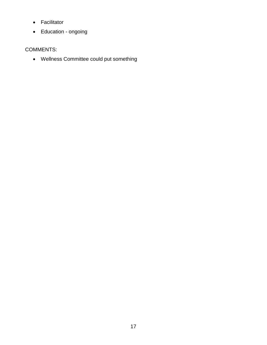- Facilitator
- Education ongoing

#### COMMENTS:

Wellness Committee could put something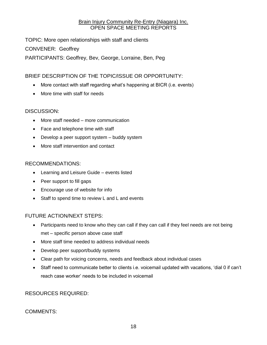TOPIC: More open relationships with staff and clients CONVENER: Geoffrey PARTICIPANTS: Geoffrey, Bev, George, Lorraine, Ben, Peg

#### BRIEF DESCRIPTION OF THE TOPIC/ISSUE OR OPPORTUNITY:

- More contact with staff regarding what's happening at BICR (i.e. events)
- More time with staff for needs

#### DISCUSSION:

- More staff needed more communication
- Face and telephone time with staff
- Develop a peer support system buddy system
- More staff intervention and contact

#### RECOMMENDATIONS:

- Learning and Leisure Guide events listed
- Peer support to fill gaps
- Encourage use of website for info
- Staff to spend time to review L and L and events

#### FUTURE ACTION/NEXT STEPS:

- Participants need to know who they can call if they can call if they feel needs are not being met – specific person above case staff
- More staff time needed to address individual needs
- Develop peer support/buddy systems
- Clear path for voicing concerns, needs and feedback about individual cases
- Staff need to communicate better to clients i.e. voicemail updated with vacations, 'dial 0 if can't reach case worker' needs to be included in voicemail

#### RESOURCES REQUIRED: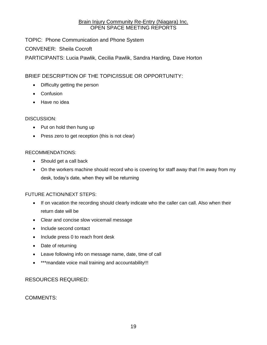TOPIC: Phone Communication and Phone System

CONVENER: Sheila Cocroft

PARTICIPANTS: Lucia Pawlik, Cecilia Pawlik, Sandra Harding, Dave Horton

#### BRIEF DESCRIPTION OF THE TOPIC/ISSUE OR OPPORTUNITY:

- Difficulty getting the person
- Confusion
- Have no idea

#### DISCUSSION:

- Put on hold then hung up
- Press zero to get reception (this is not clear)

#### RECOMMENDATIONS:

- Should get a call back
- On the workers machine should record who is covering for staff away that I'm away from my desk, today's date, when they will be returning

#### FUTURE ACTION/NEXT STEPS:

- If on vacation the recording should clearly indicate who the caller can call. Also when their return date will be
- Clear and concise slow voicemail message
- Include second contact
- Include press 0 to reach front desk
- Date of returning
- Leave following info on message name, date, time of call
- \*\*\*mandate voice mail training and accountability!!!

#### RESOURCES REQUIRED: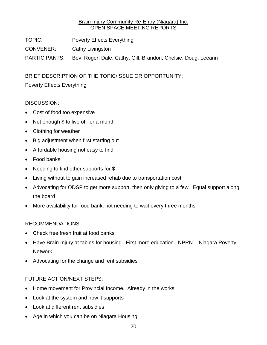TOPIC: Poverty Effects Everything

CONVENER: Cathy Livingston

PARTICIPANTS: Bev, Roger, Dale, Cathy, Gill, Brandon, Chelsie, Doug, Leeann

BRIEF DESCRIPTION OF THE TOPIC/ISSUE OR OPPORTUNITY:

Poverty Effects Everything

#### DISCUSSION:

- Cost of food too expensive
- Not enough \$ to live off for a month
- Clothing for weather
- Big adjustment when first starting out
- Affordable housing not easy to find
- Food banks
- Needing to find other supports for \$
- Living without to gain increased rehab due to transportation cost
- Advocating for ODSP to get more support, then only giving to a few. Equal support along the board
- More availability for food bank, not needing to wait every three months

#### RECOMMENDATIONS:

- Check free fresh fruit at food banks
- Have Brain Injury at tables for housing. First more education. NPRN Niagara Poverty **Network**
- Advocating for the change and rent subsidies

#### FUTURE ACTION/NEXT STEPS:

- Home movement for Provincial Income. Already in the works
- Look at the system and how it supports
- Look at different rent subsidies
- Age in which you can be on Niagara Housing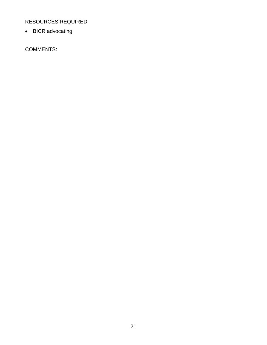RESOURCES REQUIRED:

• BICR advocating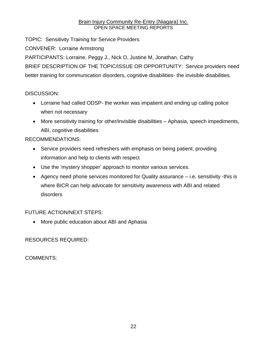TOPIC: Sensitivity Training for Service Providers CONVENER: Lorraine Armstrong PARTICIPANTS: Lorraine, Peggy J., Nick O, Justine M, Jonathan, Cathy BRIEF DESCRIPTION OF THE TOPIC/ISSUE OR OPPORTUNITY: Service providers need better training for communication disorders, cognitive disabilities- the invisible disabilities.

#### DISCUSSION:

- Lorraine had called ODSP- the worker was impatient and ending up calling police when not necessary
- More sensitivity training for other/invisible disabilities Aphasia, speech impediments, ABI, cognitive disabilities

#### RECOMMENDATIONS:

- Service providers need refreshers with emphasis on being patient, providing information and help to clients with respect
- Use the 'mystery shopper' approach to monitor various services.
- Agency need phone services monitored for Quality assurance i.e. sensitivity -this is where BICR can help advocate for sensitivity awareness with ABI and related disorders

#### FUTURE ACTION/NEXT STEPS:

• More public education about ABI and Aphasia

#### RESOURCES REQUIRED: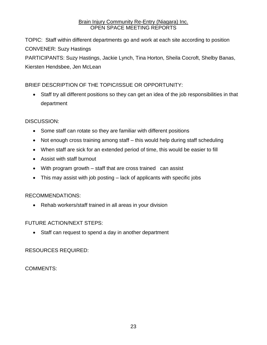TOPIC: Staff within different departments go and work at each site according to position CONVENER: Suzy Hastings PARTICIPANTS: Suzy Hastings, Jackie Lynch, Tina Horton, Sheila Cocroft, Shelby Banas, Kiersten Hendsbee, Jen McLean

#### BRIEF DESCRIPTION OF THE TOPIC/ISSUE OR OPPORTUNITY:

 Staff try all different positions so they can get an idea of the job responsibilities in that department

#### DISCUSSION:

- Some staff can rotate so they are familiar with different positions
- Not enough cross training among staff this would help during staff scheduling
- When staff are sick for an extended period of time, this would be easier to fill
- Assist with staff burnout
- With program growth staff that are cross trained can assist
- This may assist with job posting lack of applicants with specific jobs

#### RECOMMENDATIONS:

Rehab workers/staff trained in all areas in your division

#### FUTURE ACTION/NEXT STEPS:

• Staff can request to spend a day in another department

#### RESOURCES REQUIRED: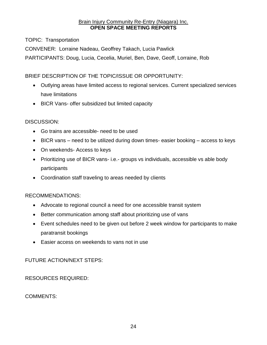TOPIC: Transportation

CONVENER: Lorraine Nadeau, Geoffrey Takach, Lucia Pawlick

PARTICIPANTS: Doug, Lucia, Cecelia, Muriel, Ben, Dave, Geoff, Lorraine, Rob

BRIEF DESCRIPTION OF THE TOPIC/ISSUE OR OPPORTUNITY:

- Outlying areas have limited access to regional services. Current specialized services have limitations
- BICR Vans- offer subsidized but limited capacity

#### DISCUSSION:

- Go trains are accessible- need to be used
- BICR vans need to be utilized during down times- easier booking access to keys
- On weekends- Access to keys
- Prioritizing use of BICR vans- i.e.- groups vs individuals, accessible vs able body participants
- Coordination staff traveling to areas needed by clients

#### RECOMMENDATIONS:

- Advocate to regional council a need for one accessible transit system
- Better communication among staff about prioritizing use of vans
- Event schedules need to be given out before 2 week window for participants to make paratransit bookings
- Easier access on weekends to vans not in use

FUTURE ACTION/NEXT STEPS:

RESOURCES REQUIRED: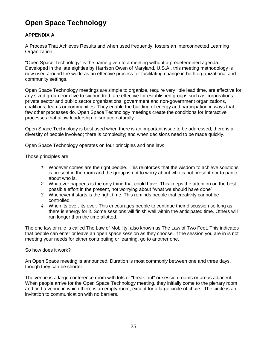# **Open Space Technology**

#### **APPENDIX A**

A Process That Achieves Results and when used frequently, fosters an Interconnected Learning Organization.

"Open Space Technology" is the name given to a meeting without a predetermined agenda. Developed in the late eighties by Harrison Owen of Maryland, U.S.A., this meeting methodology is now used around the world as an effective process for facilitating change in both organizational and community settings.

Open Space Technology meetings are simple to organize, require very little lead time, are effective for any sized group from five to six hundred, are effective for established groups such as corporations, private sector and public sector organizations, government and non-government organizations, coalitions, teams or communities. They enable the building of energy and participation in ways that few other processes do. Open Space Technology meetings create the conditions for interactive processes that allow leadership to surface naturally.

Open Space Technology is best used when there is an important issue to be addressed; there is a diversity of people involved; there is complexity; and when decisions need to be made quickly.

Open Space Technology operates on four principles and one law:

Those principles are:

- *1.* Whoever comes are the right people. This reinforces that the wisdom to achieve solutions is present in the room and the group is not to worry about who is not present nor to panic about who is.
- *2.* Whatever happens is the only thing that could have. This keeps the attention on the best possible effort in the present, not worrying about "what we should have done".
- *3.* Whenever it starts is the right time. This reminds people that creativity cannot be controlled.
- *4.* When its over, its over. This encourages people to continue their discussion so long as there is energy for it. Some sessions will finish well within the anticipated time. Others will run longer than the time allotted.

The one law or rule is called The Law of Mobility, also known as The Law of Two Feet. This indicates that people can enter or leave an open space session as they choose. If the session you are in is not meeting your needs for either contributing or learning, go to another one.

#### So how does it work?

An Open Space meeting is announced. Duration is most commonly between one and three days, though they can be shorter.

The venue is a large conference room with lots of "break-out" or session rooms or areas adjacent. When people arrive for the Open Space Technology meeting, they initially come to the plenary room and find a venue in which there is an empty room, except for a large circle of chairs. The circle is an invitation to communication with no barriers.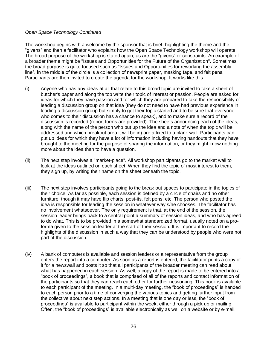#### *Open Space Technology Continued*

The workshop begins with a welcome by the sponsor that is brief, highlighting the theme and the "givens" and then a facilitator who explains how the Open Space Technology workshop will operate. The broad purpose of the workshop is stated again, as are the "givens" or constraints. An example of a broader theme might be "Issues and Opportunities for the Future of the Organization". Sometimes the broad purpose is quite focused such as "Issues and Opportunities for reworking the assembly line". In the middle of the circle is a collection of newsprint paper, masking tape, and felt pens. Participants are then invited to create the agenda for the workshop. It works like this.

- (i) Anyone who has any ideas at all that relate to this broad topic are invited to take a sheet of butcher's paper and along the top write their topic of interest or passion. People are asked for ideas for which they have passion and for which they are prepared to take the responsibility of leading a discussion group on that idea (they do not need to have had previous experience in leading a discussion group but simply to get their topic started and to be sure that everyone who comes to their discussion has a chance to speak), and to make sure a record of the discussion is recorded (report forms are provided). The sheets announcing each of the ideas, along with the name of the person who put up the idea and a note of when the topic will be addressed and which breakout area it will be in) are affixed to a blank wall. Participants can put up ideas for which they have a lot of information including having handouts that they have brought to the meeting for the purpose of sharing the information, or they might know nothing more about the idea than to have a question.
- (ii) The next step involves a "market-place". All workshop participants go to the market wall to look at the ideas outlined on each sheet. When they find the topic of most interest to them, they sign up, by writing their name on the sheet beneath the topic.
- (iii) The next step involves participants going to the break out spaces to participate in the topics of their choice. As far as possible, each session is defined by a circle of chairs and no other furniture, though it may have flip charts, post-its, felt pens, etc. The person who posted the idea is responsible for leading the session in whatever way s/he chooses. The facilitator has no involvement whatsoever. The only requirement is that, at the end of the session, the session leader brings back to a central point a summary of session ideas, and who has agreed to do what. This is to be provided in a somewhat standardized format, usually noted on a proforma given to the session leader at the start of their session. It is important to record the highlights of the discussion in such a way that they can be understood by people who were not part of the discussion.
- (iv) A bank of computers is available and session leaders or a representative from the group enters the report into a computer. As soon as a report is entered, the facilitator prints a copy of it for a newswall and posts it so that all participants of the broader meeting can read about what has happened in each session. As well, a copy of the report is made to be entered into a "book of proceedings", a book that is comprised of all of the reports and contact information of the participants so that they can reach each other for further networking. This book is available to each participant of the meeting. In a multi-day meeting, the "book of proceedings" is handed to each person prior to a time of converging the various topics and getting further input from the collective about next step actions. In a meeting that is one day or less, the "book of proceedings" is available to participant within the week, either through a pick up or mailing. Often, the "book of proceedings" is available electronically as well on a website or by e-mail.